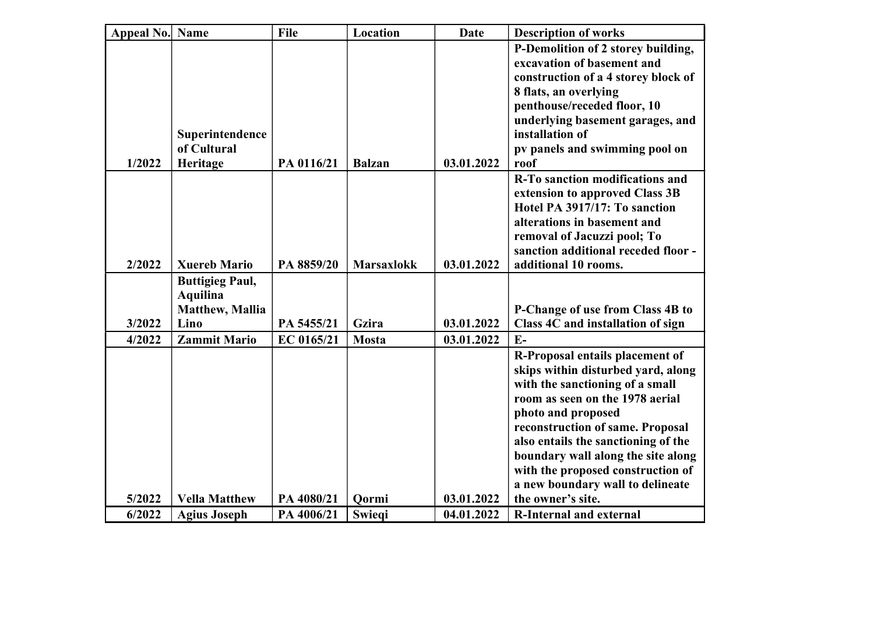| <b>Appeal No. Name</b> |                                            | File       | Location          | <b>Date</b> | <b>Description of works</b>                                           |
|------------------------|--------------------------------------------|------------|-------------------|-------------|-----------------------------------------------------------------------|
|                        |                                            |            |                   |             | P-Demolition of 2 storey building,<br>excavation of basement and      |
|                        |                                            |            |                   |             | construction of a 4 storey block of                                   |
|                        |                                            |            |                   |             | 8 flats, an overlying                                                 |
|                        |                                            |            |                   |             | penthouse/receded floor, 10                                           |
|                        | Superintendence                            |            |                   |             | underlying basement garages, and<br>installation of                   |
|                        | of Cultural                                |            |                   |             | pv panels and swimming pool on                                        |
| 1/2022                 | Heritage                                   | PA 0116/21 | <b>Balzan</b>     | 03.01.2022  | roof                                                                  |
|                        |                                            |            |                   |             | R-To sanction modifications and                                       |
|                        |                                            |            |                   |             | extension to approved Class 3B<br>Hotel PA 3917/17: To sanction       |
|                        |                                            |            |                   |             | alterations in basement and                                           |
|                        |                                            |            |                   |             | removal of Jacuzzi pool; To                                           |
|                        |                                            |            |                   |             | sanction additional receded floor -                                   |
| 2/2022                 | <b>Xuereb Mario</b>                        | PA 8859/20 | <b>Marsaxlokk</b> | 03.01.2022  | additional 10 rooms.                                                  |
|                        | <b>Buttigieg Paul,</b>                     |            |                   |             |                                                                       |
|                        | <b>Aquilina</b><br><b>Matthew</b> , Mallia |            |                   |             | P-Change of use from Class 4B to                                      |
| 3/2022                 | Lino                                       | PA 5455/21 | Gzira             | 03.01.2022  | Class 4C and installation of sign                                     |
| 4/2022                 | <b>Zammit Mario</b>                        | EC 0165/21 | <b>Mosta</b>      | 03.01.2022  | $E-$                                                                  |
|                        |                                            |            |                   |             | R-Proposal entails placement of                                       |
|                        |                                            |            |                   |             | skips within disturbed yard, along                                    |
|                        |                                            |            |                   |             | with the sanctioning of a small                                       |
|                        |                                            |            |                   |             | room as seen on the 1978 aerial                                       |
|                        |                                            |            |                   |             | photo and proposed                                                    |
|                        |                                            |            |                   |             | reconstruction of same. Proposal                                      |
|                        |                                            |            |                   |             | also entails the sanctioning of the                                   |
|                        |                                            |            |                   |             | boundary wall along the site along                                    |
|                        |                                            |            |                   |             | with the proposed construction of<br>a new boundary wall to delineate |
| 5/2022                 | <b>Vella Matthew</b>                       | PA 4080/21 | Qormi             | 03.01.2022  | the owner's site.                                                     |
| 6/2022                 | <b>Agius Joseph</b>                        | PA 4006/21 | Swiegi            | 04.01.2022  | <b>R-Internal and external</b>                                        |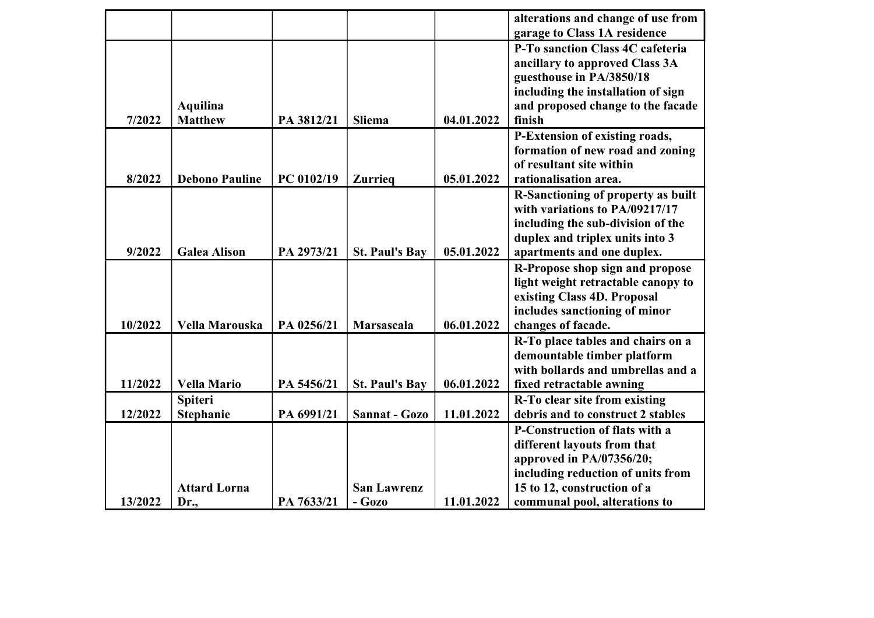|         |                       |            |                       |            | alterations and change of use from    |
|---------|-----------------------|------------|-----------------------|------------|---------------------------------------|
|         |                       |            |                       |            | garage to Class 1A residence          |
|         |                       |            |                       |            | P-To sanction Class 4C cafeteria      |
|         |                       |            |                       |            | ancillary to approved Class 3A        |
|         |                       |            |                       |            | guesthouse in PA/3850/18              |
|         |                       |            |                       |            | including the installation of sign    |
|         | <b>Aquilina</b>       |            |                       |            | and proposed change to the facade     |
| 7/2022  | <b>Matthew</b>        | PA 3812/21 | <b>Sliema</b>         | 04.01.2022 | finish                                |
|         |                       |            |                       |            | P-Extension of existing roads,        |
|         |                       |            |                       |            | formation of new road and zoning      |
|         |                       |            |                       |            | of resultant site within              |
| 8/2022  | <b>Debono Pauline</b> | PC 0102/19 | <b>Zurrieq</b>        | 05.01.2022 | rationalisation area.                 |
|         |                       |            |                       |            | R-Sanctioning of property as built    |
|         |                       |            |                       |            | with variations to PA/09217/17        |
|         |                       |            |                       |            | including the sub-division of the     |
|         |                       |            |                       |            | duplex and triplex units into 3       |
| 9/2022  | <b>Galea Alison</b>   | PA 2973/21 | <b>St. Paul's Bay</b> | 05.01.2022 | apartments and one duplex.            |
|         |                       |            |                       |            | R-Propose shop sign and propose       |
|         |                       |            |                       |            | light weight retractable canopy to    |
|         |                       |            |                       |            | existing Class 4D. Proposal           |
|         |                       |            |                       |            | includes sanctioning of minor         |
| 10/2022 | Vella Marouska        | PA 0256/21 | <b>Marsascala</b>     | 06.01.2022 | changes of facade.                    |
|         |                       |            |                       |            | R-To place tables and chairs on a     |
|         |                       |            |                       |            | demountable timber platform           |
|         |                       |            |                       |            | with bollards and umbrellas and a     |
| 11/2022 | <b>Vella Mario</b>    | PA 5456/21 | <b>St. Paul's Bay</b> | 06.01.2022 | fixed retractable awning              |
|         | <b>Spiteri</b>        |            |                       |            | R-To clear site from existing         |
| 12/2022 | <b>Stephanie</b>      | PA 6991/21 | Sannat - Gozo         | 11.01.2022 | debris and to construct 2 stables     |
|         |                       |            |                       |            | <b>P-Construction of flats with a</b> |
|         |                       |            |                       |            | different layouts from that           |
|         |                       |            |                       |            | approved in PA/07356/20;              |
|         |                       |            |                       |            | including reduction of units from     |
|         | <b>Attard Lorna</b>   |            | <b>San Lawrenz</b>    |            | 15 to 12, construction of a           |
| 13/2022 | $Dr_{.2}$             | PA 7633/21 | $-Gozo$               | 11.01.2022 | communal pool, alterations to         |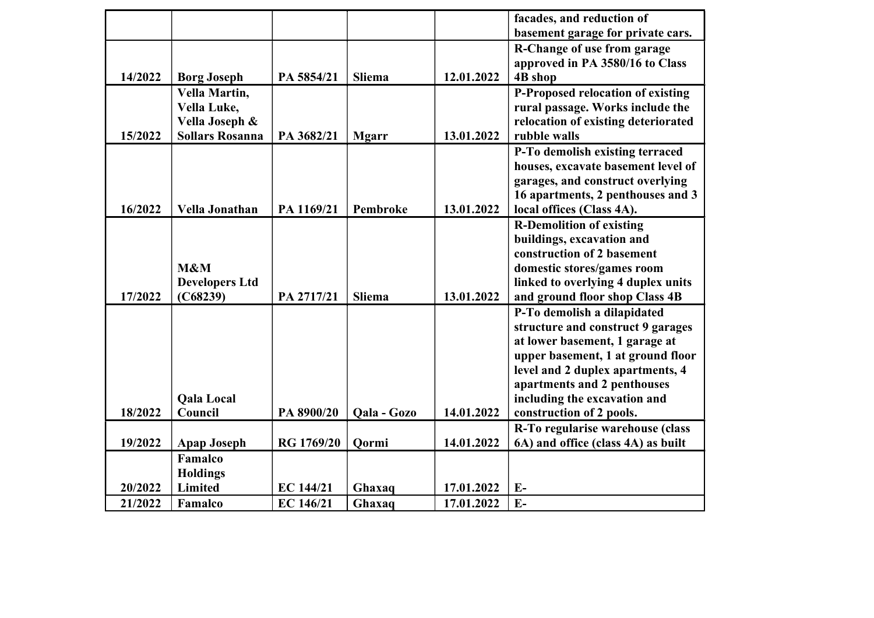|         |                        |                  |               |            | facades, and reduction of           |
|---------|------------------------|------------------|---------------|------------|-------------------------------------|
|         |                        |                  |               |            | basement garage for private cars.   |
|         |                        |                  |               |            | R-Change of use from garage         |
|         |                        |                  |               |            | approved in PA 3580/16 to Class     |
| 14/2022 | <b>Borg Joseph</b>     | PA 5854/21       | <b>Sliema</b> | 12.01.2022 | <b>4B</b> shop                      |
|         | Vella Martin,          |                  |               |            | P-Proposed relocation of existing   |
|         | Vella Luke,            |                  |               |            | rural passage. Works include the    |
|         | Vella Joseph &         |                  |               |            | relocation of existing deteriorated |
| 15/2022 | <b>Sollars Rosanna</b> | PA 3682/21       | <b>Mgarr</b>  | 13.01.2022 | rubble walls                        |
|         |                        |                  |               |            | P-To demolish existing terraced     |
|         |                        |                  |               |            | houses, excavate basement level of  |
|         |                        |                  |               |            | garages, and construct overlying    |
|         |                        |                  |               |            | 16 apartments, 2 penthouses and 3   |
| 16/2022 | Vella Jonathan         | PA 1169/21       | Pembroke      | 13.01.2022 | local offices (Class 4A).           |
|         |                        |                  |               |            | <b>R-Demolition of existing</b>     |
|         |                        |                  |               |            | buildings, excavation and           |
|         |                        |                  |               |            | construction of 2 basement          |
|         | M&M                    |                  |               |            | domestic stores/games room          |
|         | <b>Developers Ltd</b>  |                  |               |            | linked to overlying 4 duplex units  |
| 17/2022 | (C68239)               | PA 2717/21       | Sliema        | 13.01.2022 | and ground floor shop Class 4B      |
|         |                        |                  |               |            | P-To demolish a dilapidated         |
|         |                        |                  |               |            | structure and construct 9 garages   |
|         |                        |                  |               |            | at lower basement, 1 garage at      |
|         |                        |                  |               |            | upper basement, 1 at ground floor   |
|         |                        |                  |               |            | level and 2 duplex apartments, 4    |
|         |                        |                  |               |            | apartments and 2 penthouses         |
|         | <b>Qala Local</b>      |                  |               |            | including the excavation and        |
| 18/2022 | Council                | PA 8900/20       | Qala - Gozo   | 14.01.2022 | construction of 2 pools.            |
|         |                        |                  |               |            | R-To regularise warehouse (class    |
| 19/2022 | <b>Apap Joseph</b>     | RG 1769/20       | Qormi         | 14.01.2022 | 6A) and office (class 4A) as built  |
|         | Famalco                |                  |               |            |                                     |
|         | <b>Holdings</b>        |                  |               |            |                                     |
| 20/2022 | Limited                | <b>EC 144/21</b> | Ghaxaq        | 17.01.2022 | $E-$                                |
| 21/2022 | Famalco                | EC 146/21        | Ghaxaq        | 17.01.2022 | $E-$                                |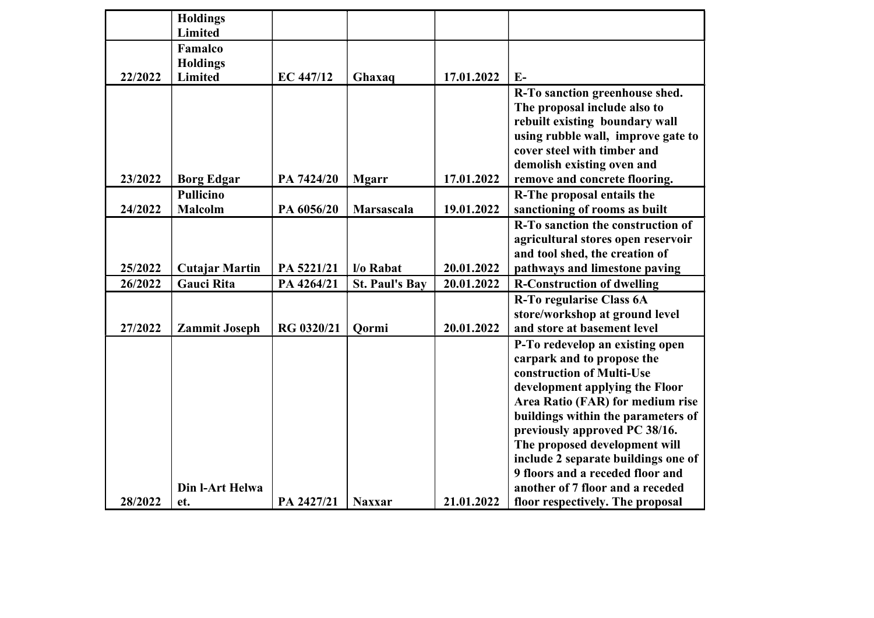|         | <b>Holdings</b><br>Limited  |            |                       |            |                                                                                                                                                                                                                                                                                                                                                                                         |
|---------|-----------------------------|------------|-----------------------|------------|-----------------------------------------------------------------------------------------------------------------------------------------------------------------------------------------------------------------------------------------------------------------------------------------------------------------------------------------------------------------------------------------|
|         | Famalco<br><b>Holdings</b>  |            |                       |            |                                                                                                                                                                                                                                                                                                                                                                                         |
| 22/2022 | Limited                     | EC 447/12  | Ghaxaq                | 17.01.2022 | $E-$                                                                                                                                                                                                                                                                                                                                                                                    |
|         |                             |            |                       |            | R-To sanction greenhouse shed.<br>The proposal include also to<br>rebuilt existing boundary wall<br>using rubble wall, improve gate to<br>cover steel with timber and                                                                                                                                                                                                                   |
|         |                             |            |                       |            | demolish existing oven and                                                                                                                                                                                                                                                                                                                                                              |
| 23/2022 | <b>Borg Edgar</b>           | PA 7424/20 | <b>Mgarr</b>          | 17.01.2022 | remove and concrete flooring.                                                                                                                                                                                                                                                                                                                                                           |
| 24/2022 | Pullicino<br><b>Malcolm</b> | PA 6056/20 | Marsascala            | 19.01.2022 | R-The proposal entails the<br>sanctioning of rooms as built                                                                                                                                                                                                                                                                                                                             |
|         |                             |            |                       |            | R-To sanction the construction of<br>agricultural stores open reservoir<br>and tool shed, the creation of                                                                                                                                                                                                                                                                               |
| 25/2022 | <b>Cutajar Martin</b>       | PA 5221/21 | l/o Rabat             | 20.01.2022 | pathways and limestone paving                                                                                                                                                                                                                                                                                                                                                           |
| 26/2022 | <b>Gauci Rita</b>           | PA 4264/21 | <b>St. Paul's Bay</b> | 20.01.2022 | <b>R-Construction of dwelling</b>                                                                                                                                                                                                                                                                                                                                                       |
| 27/2022 | <b>Zammit Joseph</b>        | RG 0320/21 | Oormi                 | 20.01.2022 | <b>R-To regularise Class 6A</b><br>store/workshop at ground level<br>and store at basement level                                                                                                                                                                                                                                                                                        |
|         | Din l-Art Helwa             |            |                       |            | P-To redevelop an existing open<br>carpark and to propose the<br>construction of Multi-Use<br>development applying the Floor<br>Area Ratio (FAR) for medium rise<br>buildings within the parameters of<br>previously approved PC 38/16.<br>The proposed development will<br>include 2 separate buildings one of<br>9 floors and a receded floor and<br>another of 7 floor and a receded |
| 28/2022 | et.                         | PA 2427/21 | <b>Naxxar</b>         | 21.01.2022 | floor respectively. The proposal                                                                                                                                                                                                                                                                                                                                                        |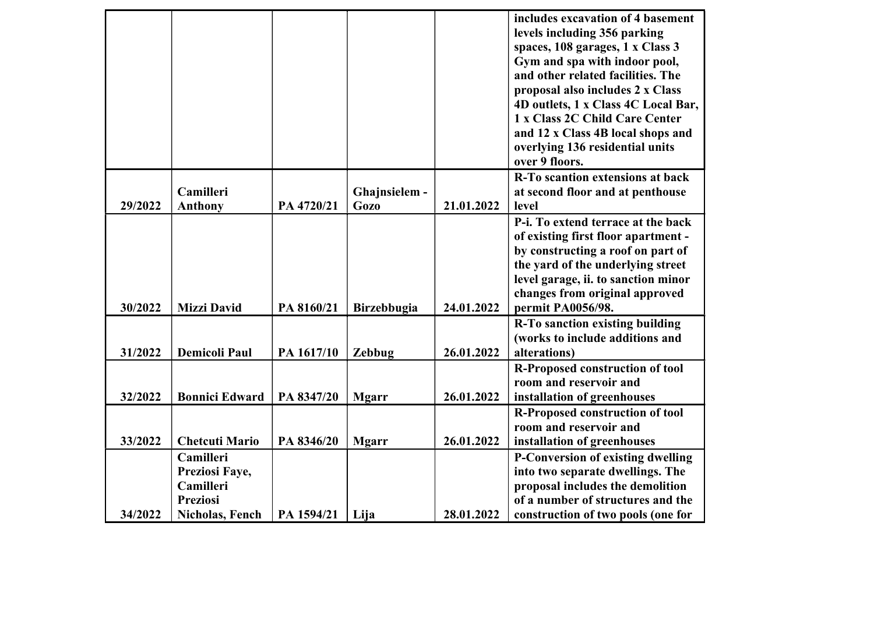|         |                       |            |                    |            | includes excavation of 4 basement                                      |
|---------|-----------------------|------------|--------------------|------------|------------------------------------------------------------------------|
|         |                       |            |                    |            | levels including 356 parking                                           |
|         |                       |            |                    |            | spaces, 108 garages, 1 x Class 3                                       |
|         |                       |            |                    |            | Gym and spa with indoor pool,                                          |
|         |                       |            |                    |            | and other related facilities. The                                      |
|         |                       |            |                    |            | proposal also includes 2 x Class                                       |
|         |                       |            |                    |            | 4D outlets, 1 x Class 4C Local Bar,                                    |
|         |                       |            |                    |            | 1 x Class 2C Child Care Center                                         |
|         |                       |            |                    |            | and 12 x Class 4B local shops and                                      |
|         |                       |            |                    |            | overlying 136 residential units                                        |
|         |                       |            |                    |            | over 9 floors.                                                         |
|         |                       |            |                    |            | R-To scantion extensions at back                                       |
|         | Camilleri             |            | Ghajnsielem -      |            | at second floor and at penthouse                                       |
| 29/2022 | <b>Anthony</b>        | PA 4720/21 | <b>Gozo</b>        | 21.01.2022 | level                                                                  |
|         |                       |            |                    |            | P-i. To extend terrace at the back                                     |
|         |                       |            |                    |            | of existing first floor apartment -                                    |
|         |                       |            |                    |            | by constructing a roof on part of<br>the yard of the underlying street |
|         |                       |            |                    |            | level garage, ii. to sanction minor                                    |
|         |                       |            |                    |            | changes from original approved                                         |
| 30/2022 | <b>Mizzi David</b>    | PA 8160/21 | <b>Birzebbugia</b> | 24.01.2022 | permit PA0056/98.                                                      |
|         |                       |            |                    |            | R-To sanction existing building                                        |
|         |                       |            |                    |            | (works to include additions and                                        |
| 31/2022 | <b>Demicoli Paul</b>  | PA 1617/10 | Zebbug             | 26.01.2022 | alterations)                                                           |
|         |                       |            |                    |            | <b>R-Proposed construction of tool</b>                                 |
|         |                       |            |                    |            | room and reservoir and                                                 |
| 32/2022 | <b>Bonnici Edward</b> | PA 8347/20 | <b>Mgarr</b>       | 26.01.2022 | installation of greenhouses                                            |
|         |                       |            |                    |            | <b>R-Proposed construction of tool</b>                                 |
|         |                       |            |                    |            | room and reservoir and                                                 |
| 33/2022 | <b>Chetcuti Mario</b> | PA 8346/20 | <b>Mgarr</b>       | 26.01.2022 | installation of greenhouses                                            |
|         | Camilleri             |            |                    |            | P-Conversion of existing dwelling                                      |
|         | Preziosi Faye,        |            |                    |            | into two separate dwellings. The                                       |
|         | Camilleri             |            |                    |            | proposal includes the demolition                                       |
|         | <b>Preziosi</b>       |            |                    |            | of a number of structures and the                                      |
| 34/2022 | Nicholas, Fench       | PA 1594/21 | Lija               | 28.01.2022 | construction of two pools (one for                                     |